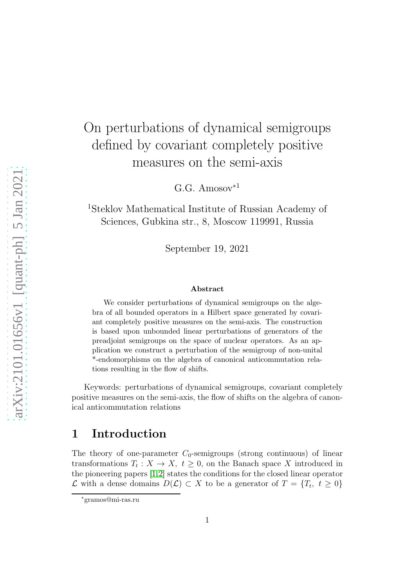# On perturbations of dynamical semigroups defined by covariant completely positive measures on the semi-axis

 $G.G.$  Amosov<sup> $*1$ </sup>

<sup>1</sup>Steklov Mathematical Institute of Russian Academy of Sciences, Gubkina str., 8, Moscow 119991, Russia

September 19, 2021

#### Abstract

We consider perturbations of dynamical semigroups on the algebra of all bounded operators in a Hilbert space generated by covariant completely positive measures on the semi-axis. The construction is based upon unbounded linear perturbations of generators of the preadjoint semigroups on the space of nuclear operators. As an application we construct a perturbation of the semigroup of non-unital \*-endomorphisms on the algebra of canonical anticommutation relations resulting in the flow of shifts.

Keywords: perturbations of dynamical semigroups, covariant completely positive measures on the semi-axis, the flow of shifts on the algebra of canonical anticommutation relations

### 1 Introduction

The theory of one-parameter  $C_0$ -semigroups (strong continuous) of linear transformations  $T_t: X \to X$ ,  $t \geq 0$ , on the Banach space X introduced in the pioneering papers [\[1,](#page-12-0)[2\]](#page-12-1) states the conditions for the closed linear operator  $\mathcal L$  with a dense domains  $D(\mathcal L) \subset X$  to be a generator of  $T = \{T_t, t \geq 0\}$ 

<sup>∗</sup>gramos@mi-ras.ru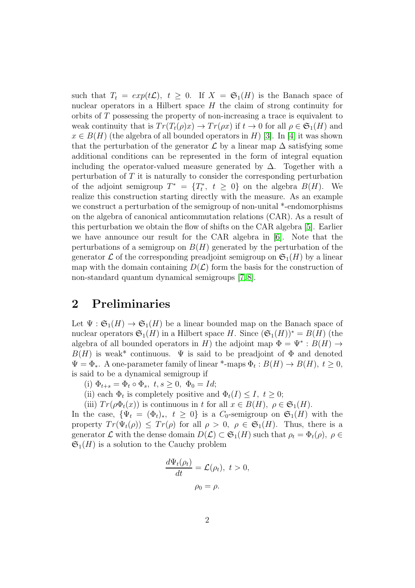such that  $T_t = exp(t\mathcal{L}), t \geq 0$ . If  $X = \mathfrak{S}_1(H)$  is the Banach space of nuclear operators in a Hilbert space  $H$  the claim of strong continuity for orbits of T possessing the property of non-increasing a trace is equivalent to weak continuity that is  $Tr(T_t(\rho)x) \to Tr(\rho x)$  if  $t \to 0$  for all  $\rho \in \mathfrak{S}_1(H)$  and  $x \in B(H)$  (the algebra of all bounded operators in H) [\[3\]](#page-13-0). In [\[4\]](#page-13-1) it was shown that the perturbation of the generator  $\mathcal L$  by a linear map  $\Delta$  satisfying some additional conditions can be represented in the form of integral equation including the operator-valued measure generated by  $\Delta$ . Together with a perturbation of  $T$  it is naturally to consider the corresponding perturbation of the adjoint semigroup  $T^* = \{T_t^*, t \geq 0\}$  on the algebra  $B(H)$ . We realize this construction starting directly with the measure. As an example we construct a perturbation of the semigroup of non-unital \*-endomorphisms on the algebra of canonical anticommutation relations (CAR). As a result of this perturbation we obtain the flow of shifts on the CAR algebra [\[5\]](#page-13-2). Earlier we have announce our result for the CAR algebra in [\[6\]](#page-13-3). Note that the perturbations of a semigroup on  $B(H)$  generated by the perturbation of the generator  $\mathcal L$  of the corresponding preadjoint semigroup on  $\mathfrak S_1(H)$  by a linear map with the domain containing  $D(\mathcal{L})$  form the basis for the construction of non-standard quantum dynamical semigroups [\[7,](#page-13-4) [8\]](#page-13-5).

### 2 Preliminaries

Let  $\Psi : \mathfrak{S}_1(H) \to \mathfrak{S}_1(H)$  be a linear bounded map on the Banach space of nuclear operators  $\mathfrak{S}_1(H)$  in a Hilbert space H. Since  $(\mathfrak{S}_1(H))^* = B(H)$  (the algebra of all bounded operators in H) the adjoint map  $\Phi = \Psi^* : B(H) \to$  $B(H)$  is weak\* continuous.  $\Psi$  is said to be preadjoint of  $\Phi$  and denoted  $\Psi = \Phi_*$ . A one-parameter family of linear \*-maps  $\Phi_t : B(H) \to B(H)$ ,  $t \ge 0$ , is said to be a dynamical semigroup if

(i)  $\Phi_{t+s} = \Phi_t \circ \Phi_s, t, s \geq 0, \Phi_0 = Id;$ 

(ii) each  $\Phi_t$  is completely positive and  $\Phi_t(I) \leq I, t \geq 0;$ 

(iii)  $Tr(\rho \Phi_t(x))$  is continuous in t for all  $x \in B(H)$ ,  $\rho \in \mathfrak{S}_1(H)$ .

In the case,  $\{\Psi_t = (\Phi_t)_*, t \geq 0\}$  is a  $C_0$ -semigroup on  $\mathfrak{S}_1(H)$  with the property  $Tr(\Psi_t(\rho)) \leq Tr(\rho)$  for all  $\rho > 0$ ,  $\rho \in \mathfrak{S}_1(H)$ . Thus, there is a generator  $\mathcal L$  with the dense domain  $D(\mathcal L) \subset \mathfrak S_1(H)$  such that  $\rho_t = \Phi_t(\rho), \ \rho \in$  $\mathfrak{S}_1(H)$  is a solution to the Cauchy problem

$$
\frac{d\Psi_t(\rho_t)}{dt} = \mathcal{L}(\rho_t), \ t > 0,
$$
  

$$
\rho_0 = \rho.
$$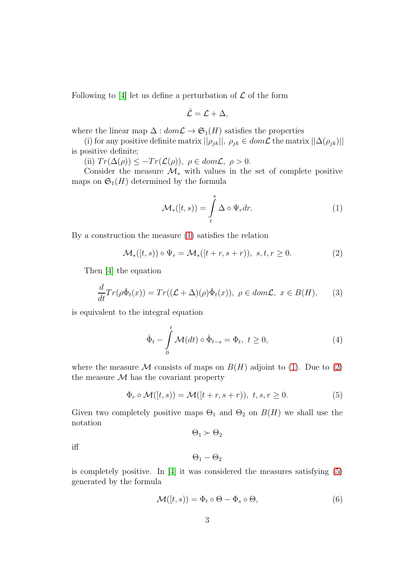Following to [\[4\]](#page-13-1) let us define a perturbation of  $\mathcal L$  of the form

$$
\check{\mathcal{L}}=\mathcal{L}+\Delta,
$$

where the linear map  $\Delta: dom\mathcal{L} \to \mathfrak{S}_1(H)$  satisfies the properties

(i) for any positive definite matrix  $||\rho_{jk}||, \rho_{jk} \in dom\mathcal{L}$  the matrix  $||\Delta(\rho_{jk})||$ is positive definite;

(ii)  $Tr(\Delta(\rho)) \leq -Tr(\mathcal{L}(\rho)), \ \rho \in dom\mathcal{L}, \ \rho > 0.$ 

Consider the measure  $\mathcal{M}_{*}$  with values in the set of complete positive maps on  $\mathfrak{S}_1(H)$  determined by the formula

<span id="page-2-0"></span>
$$
\mathcal{M}_{*}([t,s)) = \int_{t}^{s} \Delta \circ \Psi_{r} dr.
$$
 (1)

By a construction the measure [\(1\)](#page-2-0) satisfies the relation

<span id="page-2-1"></span>
$$
\mathcal{M}_{*}([t,s)) \circ \Psi_{r} = \mathcal{M}_{*}([t+r,s+r)), \ s,t,r \geq 0.
$$
 (2)

Then [\[4\]](#page-13-1) the equation

<span id="page-2-3"></span>
$$
\frac{d}{dt}Tr(\rho\check{\Phi}_t(x)) = Tr((\mathcal{L} + \Delta)(\rho)\check{\Phi}_t(x)), \ \rho \in dom\mathcal{L}, \ x \in B(H), \tag{3}
$$

is equivalent to the integral equation

<span id="page-2-5"></span>
$$
\check{\Phi}_t - \int\limits_0^t \mathcal{M}(dt) \circ \check{\Phi}_{t-s} = \Phi_t, \ t \ge 0,
$$
\n(4)

where the measure M consists of maps on  $B(H)$  adjoint to [\(1\)](#page-2-0). Due to [\(2\)](#page-2-1) the measure  $\mathcal M$  has the covariant property

<span id="page-2-2"></span>
$$
\Phi_r \circ \mathcal{M}([t,s)) = \mathcal{M}([t+r,s+r)), \ t,s,r \ge 0. \tag{5}
$$

Given two completely positive maps  $\Theta_1$  and  $\Theta_2$  on  $B(H)$  we shall use the notation

$$
\Theta_1\succ\Theta_2
$$

iff

$$
\Theta_1-\Theta_2
$$

is completely positive. In [\[4\]](#page-13-1) it was considered the measures satisfying [\(5\)](#page-2-2) generated by the formula

<span id="page-2-4"></span>
$$
\mathcal{M}([t,s)) = \Phi_t \circ \Theta - \Phi_s \circ \Theta,\tag{6}
$$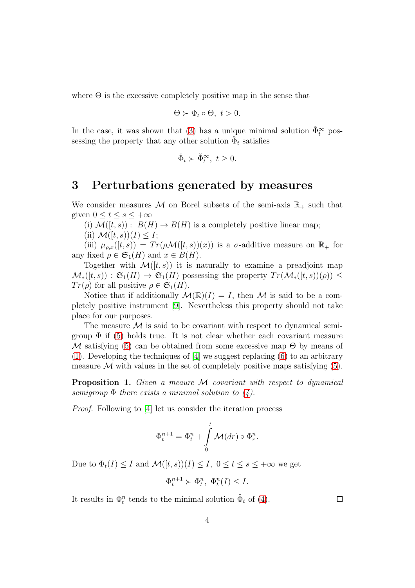where  $\Theta$  is the excessive completely positive map in the sense that

$$
\Theta \succ \Phi_t \circ \Theta, \ t > 0.
$$

In the case, it was shown that [\(3\)](#page-2-3) has a unique minimal solution  $\check{\Phi}_t^{\infty}$  possessing the property that any other solution  $\check{\Phi}_t$  satisfies

$$
\check{\Phi}_t \succ \check{\Phi}_t^{\infty}, \ t \ge 0.
$$

#### 3 Perturbations generated by measures

We consider measures M on Borel subsets of the semi-axis  $\mathbb{R}_+$  such that given  $0 \le t \le s \le +\infty$ 

(i)  $\mathcal{M}([t, s)) : B(H) \to B(H)$  is a completely positive linear map;

(ii)  $\mathcal{M}([t, s))(I) \leq I;$ 

(iii)  $\mu_{\rho,x}([t,s)) = Tr(\rho \mathcal{M}([t,s))(x))$  is a  $\sigma$ -additive measure on  $\mathbb{R}_+$  for any fixed  $\rho \in \mathfrak{S}_1(H)$  and  $x \in B(H)$ .

Together with  $\mathcal{M}([t,s))$  it is naturally to examine a preadjoint map  $\mathcal{M}_{*}([t, s)) : \mathfrak{S}_{1}(H) \to \mathfrak{S}_{1}(H)$  possessing the property  $Tr(\mathcal{M}_{*}([t, s))(\rho)) \leq$  $Tr(\rho)$  for all positive  $\rho \in \mathfrak{S}_1(H)$ .

Notice that if additionally  $\mathcal{M}(\mathbb{R})(I) = I$ , then M is said to be a completely positive instrument [\[9\]](#page-13-6). Nevertheless this property should not take place for our purposes.

The measure  $\mathcal M$  is said to be covariant with respect to dynamical semigroup  $\Phi$  if [\(5\)](#page-2-2) holds true. It is not clear whether each covariant measure M satisfying [\(5\)](#page-2-2) can be obtained from some excessive map  $\Theta$  by means of [\(1\)](#page-2-0). Developing the techniques of [\[4\]](#page-13-1) we suggest replacing [\(6\)](#page-2-4) to an arbitrary measure  $\mathcal M$  with values in the set of completely positive maps satisfying [\(5\)](#page-2-2).

**Proposition 1.** Given a meaure M covariant with respect to dynamical semigroup  $\Phi$  there exists a minimal solution to [\(4\)](#page-2-5).

Proof. Following to [\[4\]](#page-13-1) let us consider the iteration process

$$
\Phi_t^{n+1} = \Phi_t^n + \int_0^t \mathcal{M}(dr) \circ \Phi_t^n.
$$

Due to  $\Phi_t(I) \leq I$  and  $\mathcal{M}([t, s))(I) \leq I$ ,  $0 \leq t \leq s \leq +\infty$  we get

$$
\Phi_t^{n+1} \succ \Phi_t^n, \ \Phi_t^n(I) \leq I.
$$

It results in  $\Phi_t^n$  tends to the minimal solution  $\check{\Phi}_t$  of [\(4\)](#page-2-5).

 $\Box$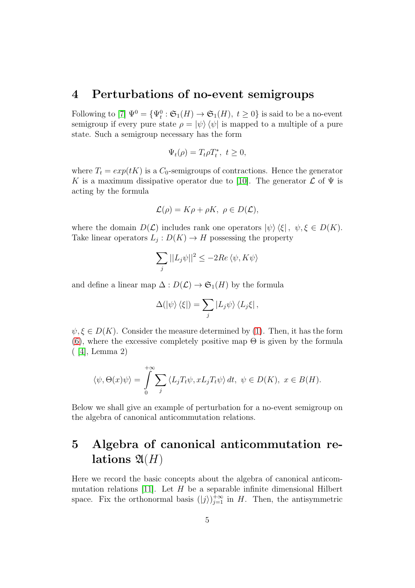### 4 Perturbations of no-event semigroups

Following to [\[7\]](#page-13-4)  $\Psi^0 = {\Psi_t^0 : \mathfrak{S}_1(H) \to \mathfrak{S}_1(H), t \geq 0}$  is said to be a no-event semigroup if every pure state  $\rho = |\psi\rangle \langle \psi|$  is mapped to a multiple of a pure state. Such a semigroup necessary has the form

$$
\Psi_t(\rho) = T_t \rho T_t^*, \ t \ge 0,
$$

where  $T_t = exp(tK)$  is a  $C_0$ -semigroups of contractions. Hence the generator K is a maximum dissipative operator due to [\[10\]](#page-13-7). The generator  $\mathcal L$  of  $\Psi$  is acting by the formula

$$
\mathcal{L}(\rho) = K\rho + \rho K, \ \rho \in D(\mathcal{L}),
$$

where the domain  $D(\mathcal{L})$  includes rank one operators  $|\psi\rangle\langle \xi|, \psi, \xi \in D(K)$ . Take linear operators  $L_j: D(K) \to H$  possessing the property

$$
\sum_{j}||L_{j}\psi||^{2} \le -2Re\langle \psi, K\psi \rangle
$$

and define a linear map  $\Delta: D(\mathcal{L}) \to \mathfrak{S}_1(H)$  by the formula

$$
\Delta(\ket{\psi}\bra{\xi}) = \sum_j |L_j \psi\rangle \bra{L_j \xi},
$$

 $\psi, \xi \in D(K)$ . Consider the measure determined by [\(1\)](#page-2-0). Then, it has the form [\(6\)](#page-2-4), where the excessive completely positive map  $\Theta$  is given by the formula ( [\[4\]](#page-13-1), Lemma 2)

$$
\langle \psi, \Theta(x)\psi \rangle = \int_{0}^{+\infty} \sum_{j} \langle L_j T_t \psi, x L_j T_t \psi \rangle dt, \ \psi \in D(K), \ x \in B(H).
$$

Below we shall give an example of perturbation for a no-event semigroup on the algebra of canonical anticommutation relations.

## 5 Algebra of canonical anticommutation relations  $\mathfrak{A}(H)$

Here we record the basic concepts about the algebra of canonical anticom-mutation relations [\[11\]](#page-13-8). Let  $H$  be a separable infinite dimensional Hilbert space. Fix the orthonormal basis  $(|j\rangle)_{j=1}^{+\infty}$  in H. Then, the antisymmetric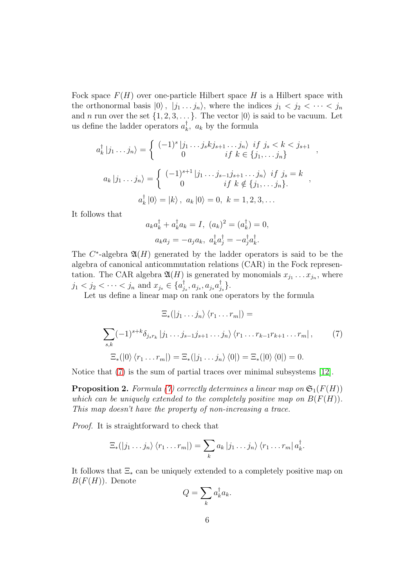Fock space  $F(H)$  over one-particle Hilbert space H is a Hilbert space with the orthonormal basis  $|0\rangle$ ,  $|j_1 \dots j_n\rangle$ , where the indices  $j_1 < j_2 < \dots < j_n$ and *n* run over the set  $\{1, 2, 3, \ldots\}$ . The vector  $|0\rangle$  is said to be vacuum. Let us define the ladder operators  $a_k^{\dagger}$  $\bar{k}$ ,  $a_k$  by the formula

$$
a_k^{\dagger} |j_1 \dots j_n\rangle = \begin{cases} (-1)^s |j_1 \dots j_s k j_{s+1} \dots j_n\rangle & \text{if } j_s < k < j_{s+1} \\ 0 & \text{if } k \in \{j_1, \dots j_n\} \end{cases}
$$

$$
a_k |j_1 \dots j_n\rangle = \begin{cases} (-1)^{s+1} |j_1 \dots j_{s-1} j_{s+1} \dots j_n\rangle & \text{if } j_s = k \\ 0 & \text{if } k \notin \{j_1, \dots j_n\}. \end{cases}
$$

$$
a_k^{\dagger} |0\rangle = |k\rangle, \ a_k |0\rangle = 0, \ k = 1, 2, 3, \dots
$$

,

It follows that

$$
a_k a_k^{\dagger} + a_k^{\dagger} a_k = I, \ (a_k)^2 = (a_k^{\dagger}) = 0,
$$
  

$$
a_k a_j = -a_j a_k, \ a_k^{\dagger} a_j^{\dagger} = -a_j^{\dagger} a_k^{\dagger}.
$$

The  $C^*$ -algebra  $\mathfrak{A}(H)$  generated by the ladder operators is said to be the algebra of canonical anticommutation relations (CAR) in the Fock representation. The CAR algebra  $\mathfrak{A}(H)$  is generated by monomials  $x_{j_1} \ldots x_{j_n}$ , where  $j_1 < j_2 < \cdots < j_n$  and  $x_{j_s} \in \{a_j^{\dagger}$  $_{j_s}^{\dagger},a_{j_s},a_{j_s}a_{j}^{\dagger}$  $_{j_{s}}^{\intercal}\}.$ 

Let us define a linear map on rank one operators by the formula

<span id="page-5-0"></span>
$$
\Xi_*(|j_1 \dots j_n\rangle \langle r_1 \dots r_m|) =
$$
  

$$
\sum_{s,k} (-1)^{s+k} \delta_{j_s r_k} |j_1 \dots j_{s-1} j_{s+1} \dots j_n\rangle \langle r_1 \dots r_{k-1} r_{k+1} \dots r_m|,
$$
 (7)  

$$
\Xi_*(|0\rangle \langle r_1 \dots r_m|) = \Xi_*(|j_1 \dots j_n\rangle \langle 0|) = \Xi_*(|0\rangle \langle 0|) = 0.
$$

Notice that [\(7\)](#page-5-0) is the sum of partial traces over minimal subsystems [\[12\]](#page-13-9).

<span id="page-5-1"></span>**Proposition 2.** Formula [\(7\)](#page-5-0) correctly determines a linear map on  $\mathfrak{S}_1(F(H))$ which can be uniquely extended to the completely positive map on  $B(F(H))$ . This map doesn't have the property of non-increasing a trace.

Proof. It is straightforward to check that

$$
\Xi_*(|j_1\ldots j_n\rangle\langle r_1\ldots r_m|)=\sum_k a_k |j_1\ldots j_n\rangle\langle r_1\ldots r_m| a_k^{\dagger}.
$$

It follows that  $\Xi_*$  can be uniquely extended to a completely positive map on  $B(F(H))$ . Denote

$$
Q = \sum_{k} a_{k}^{\dagger} a_{k}.
$$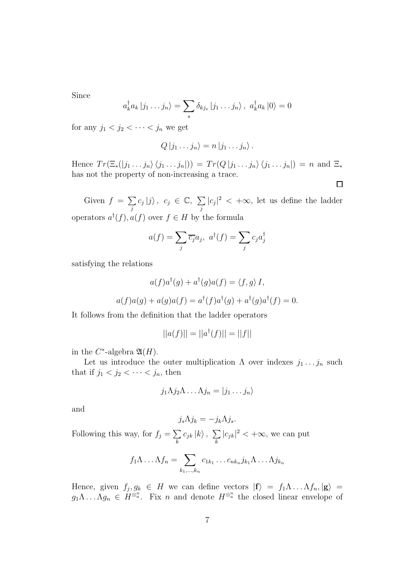Since

$$
a_k^{\dagger} a_k | j_1 \dots j_n \rangle = \sum_s \delta_{k j_s} | j_1 \dots j_n \rangle, \ a_k^{\dagger} a_k | 0 \rangle = 0
$$

for any  $j_1 < j_2 < \cdots < j_n$  we get

$$
Q | j_1 \dots j_n \rangle = n | j_1 \dots j_n \rangle.
$$

Hence  $Tr(\Xi_*(|j_1 \ldots j_n\rangle \langle j_1 \ldots j_n|)) = Tr(Q |j_1 \ldots j_n\rangle \langle j_1 \ldots j_n|) = n$  and  $\Xi_*$ has not the property of non-increasing a trace.

 $\Box$ 

Given  $f = \sum$ j  $c_j |j\rangle, c_j \in \mathbb{C}, \sum$ j  $|c_j|^2 < +\infty$ , let us define the ladder operators  $a^{\dagger}(f), a(f)$  over  $f \in H$  by the formula

$$
a(f) = \sum_{j} \overline{c_j} a_j, \ a^{\dagger}(f) = \sum_{j} c_j a_j^{\dagger}
$$

satisfying the relations

$$
a(f)a^{\dagger}(g) + a^{\dagger}(g)a(f) = \langle f, g \rangle I,
$$
  

$$
a(f)a(g) + a(g)a(f) = a^{\dagger}(f)a^{\dagger}(g) + a^{\dagger}(g)a^{\dagger}(f) = 0.
$$

It follows from the definition that the ladder operators

$$
||a(f)|| = ||a^{\dagger}(f)|| = ||f||
$$

in the  $C^*$ -algebra  $\mathfrak{A}(H)$ .

Let us introduce the outer multiplication  $\Lambda$  over indexes  $j_1 \ldots j_n$  such that if  $j_1 < j_2 < \cdots < j_n$ , then

$$
j_1 \Lambda j_2 \Lambda \ldots \Lambda j_n = |j_1 \ldots j_n\rangle
$$

and

$$
j_s \Lambda j_k = -j_k \Lambda j_s.
$$

Following this way, for  $f_j = \sum$ k  $c_{jk}\ket{k},~\sum$ k  $|c_{jk}|^2 < +\infty$ , we can put

$$
f_1 \Lambda \dots \Lambda f_n = \sum_{k_1, \dots, k_n} c_{1k_1} \dots c_{nk_n} j_{k_1} \Lambda \dots \Lambda j_{k_n}
$$

Hence, given  $f_j, g_k \in H$  we can define vectors  $|\mathbf{f}\rangle = f_1 \Lambda \dots \Lambda f_n, |\mathbf{g}\rangle =$  $g_1 \Lambda \ldots \Lambda g_n \in H^{\otimes^n a}$ . Fix n and denote  $H^{\otimes^n a}$  the closed linear envelope of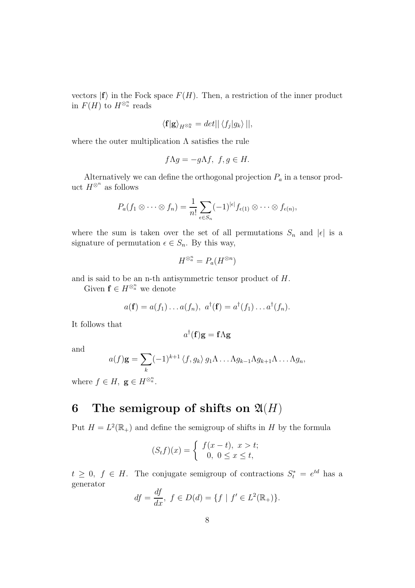vectors  $|f\rangle$  in the Fock space  $F(H)$ . Then, a restriction of the inner product in  $F(H)$  to  $H^{\otimes^n a}$  reads

$$
\langle \mathbf{f} | \mathbf{g} \rangle_{H^{\otimes n}} = det || \langle f_j | g_k \rangle ||,
$$

where the outer multiplication  $\Lambda$  satisfies the rule

$$
f\Lambda g = -g\Lambda f, \ f, g \in H.
$$

Alternatively we can define the orthogonal projection  $P_a$  in a tensor product  $H^{\otimes^n}$  as follows

$$
P_a(f_1\otimes\cdots\otimes f_n)=\frac{1}{n!}\sum_{\epsilon\in S_n}(-1)^{|\epsilon|}f_{\epsilon(1)}\otimes\cdots\otimes f_{\epsilon(n)},
$$

where the sum is taken over the set of all permutations  $S_n$  and  $|\epsilon|$  is a signature of permutation  $\epsilon \in S_n$ . By this way,

$$
H^{\otimes^n a} = P_a(H^{\otimes n})
$$

and is said to be an n-th antisymmetric tensor product of H.

Given  $\mathbf{f} \in H^{\otimes_a^n}$  we denote

$$
a(\mathbf{f}) = a(f_1) \dots a(f_n), \ a^{\dagger}(\mathbf{f}) = a^{\dagger}(f_1) \dots a^{\dagger}(f_n).
$$

It follows that

$$
a^{\dagger}(\mathbf{f})\mathbf{g}=\mathbf{f}\Lambda \mathbf{g}
$$

and

$$
a(f)\mathbf{g} = \sum_{k} (-1)^{k+1} \langle f, g_k \rangle g_1 \Lambda \dots \Lambda g_{k-1} \Lambda g_{k+1} \Lambda \dots \Lambda g_n,
$$

where  $f \in H$ ,  $\mathbf{g} \in H^{\otimes_a^n}$ .

### 6 The semigroup of shifts on  $\mathfrak{A}(H)$

Put  $H = L^2(\mathbb{R}_+)$  and define the semigroup of shifts in H by the formula

$$
(S_t f)(x) = \begin{cases} f(x - t), & x > t; \\ 0, & 0 \le x \le t, \end{cases}
$$

 $t \geq 0, f \in H$ . The conjugate semigroup of contractions  $S_t^* = e^{td}$  has a generator

$$
df = \frac{df}{dx}, \ f \in D(d) = \{ f \mid f' \in L^2(\mathbb{R}_+) \}.
$$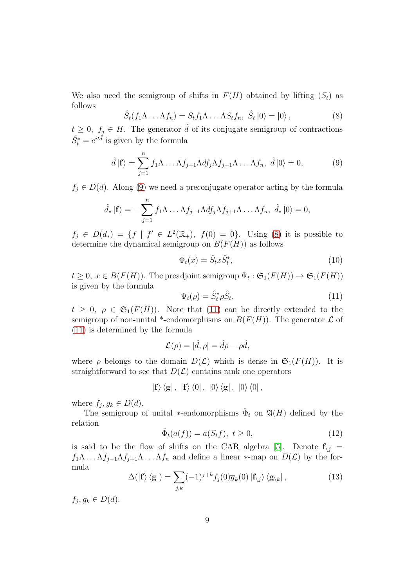We also need the semigroup of shifts in  $F(H)$  obtained by lifting  $(S_t)$  as follows

<span id="page-8-1"></span>
$$
\hat{S}_t(f_1\Lambda \dots \Lambda f_n) = S_t f_1 \Lambda \dots \Lambda S_t f_n, \ \hat{S}_t |0\rangle = |0\rangle \,, \tag{8}
$$

 $t \geq 0, f_j \in H$ . The generator  $\hat{d}$  of its conjugate semigroup of contractions  $\hat{S}^*_{t} = e^{it\hat{d}}$  is given by the formula

<span id="page-8-0"></span>
$$
\hat{d} \left| \mathbf{f} \right\rangle = \sum_{j=1}^{n} f_1 \Lambda \dots \Lambda f_{j-1} \Lambda df_j \Lambda f_{j+1} \Lambda \dots \Lambda f_n, \ \hat{d} \left| 0 \right\rangle = 0, \tag{9}
$$

 $f_i \in D(d)$ . Along [\(9\)](#page-8-0) we need a preconjugate operator acting by the formula

$$
\hat{d}_* |\mathbf{f}\rangle = -\sum_{j=1}^n f_1 \Lambda \dots \Lambda f_{j-1} \Lambda df_j \Lambda f_{j+1} \Lambda \dots \Lambda f_n, \ \hat{d}_* |0\rangle = 0,
$$

 $f_j \in D(d_*) = \{f \mid f' \in L^2(\mathbb{R}_+), f(0) = 0\}.$  Using [\(8\)](#page-8-1) it is possible to determine the dynamical semigroup on  $B(F(H))$  as follows

$$
\Phi_t(x) = \hat{S}_t x \hat{S}_t^*,\tag{10}
$$

 $t \geq 0, x \in B(F(H))$ . The preadjoint semigroup  $\Psi_t : \mathfrak{S}_1(F(H)) \to \mathfrak{S}_1(F(H))$ is given by the formula

<span id="page-8-2"></span>
$$
\Psi_t(\rho) = \hat{S}_t^* \rho \hat{S}_t,\tag{11}
$$

 $t \geq 0, \rho \in \mathfrak{S}_1(F(H))$ . Note that [\(11\)](#page-8-2) can be directly extended to the semigroup of non-unital \*-endomorphisms on  $B(F(H))$ . The generator  $\mathcal L$  of [\(11\)](#page-8-2) is determined by the formula

$$
\mathcal{L}(\rho) = [\hat{d}, \rho] = \hat{d}\rho - \rho \hat{d},
$$

where  $\rho$  belongs to the domain  $D(\mathcal{L})$  which is dense in  $\mathfrak{S}_1(F(H))$ . It is straightforward to see that  $D(\mathcal{L})$  contains rank one operators

 $|{\bf f}\rangle \langle {\bf g}|$ ,  $|{\bf f}\rangle \langle 0|$ ,  $|0\rangle \langle {\bf g}|$ ,  $|0\rangle \langle 0|$ ,

where  $f_j, g_k \in D(d)$ .

The semigroup of unital \*-endomorphisms  $\check{\Phi}_t$  on  $\mathfrak{A}(H)$  defined by the relation

<span id="page-8-4"></span>
$$
\check{\Phi}_t(a(f)) = a(S_t f), \ t \ge 0,
$$
\n(12)

is said to be the flow of shifts on the CAR algebra [\[5\]](#page-13-2). Denote  $f_{i}$  =  $f_1\Lambda \ldots \Lambda f_{j-1}\Lambda f_{j+1}\Lambda \ldots \Lambda f_n$  and define a linear  $*$ -map on  $D(\mathcal{L})$  by the formula

<span id="page-8-3"></span>
$$
\Delta(|\mathbf{f}\rangle\langle\mathbf{g}|) = \sum_{j,k} (-1)^{j+k} f_j(0) \overline{g}_k(0) |\mathbf{f}_{\setminus j}\rangle\langle\mathbf{g}_{\setminus k}|,\tag{13}
$$

 $f_j, g_k \in D(d).$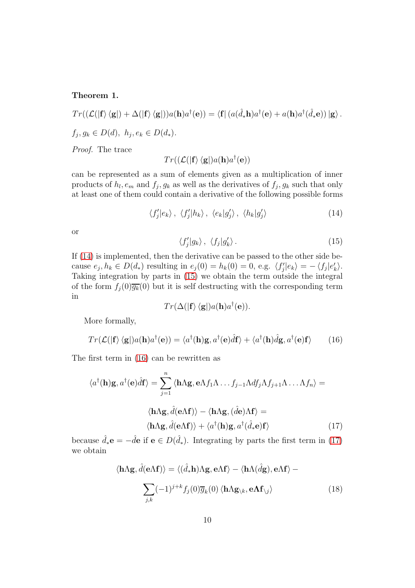<span id="page-9-5"></span>Theorem 1.

$$
Tr((\mathcal{L}(|\mathbf{f}\rangle\langle\mathbf{g}|)+\Delta(|\mathbf{f}\rangle\langle\mathbf{g}|))a(\mathbf{h})a^{\dagger}(\mathbf{e})) = \langle \mathbf{f}| (a(\hat{d}_*\mathbf{h})a^{\dagger}(\mathbf{e})+a(\mathbf{h})a^{\dagger}(\hat{d}_*\mathbf{e}))|\mathbf{g}\rangle.
$$
  
 $f_j, g_k \in D(d), h_j, e_k \in D(d_*)$ .

Proof. The trace

$$
Tr((\mathcal{L}(|\mathbf{f}\rangle\,\langle \mathbf{g}|)a(\mathbf{h})a^\dagger(\mathbf{e}))
$$

can be represented as a sum of elements given as a multiplication of inner products of  $h_l, e_m$  and  $f_j, g_k$  as well as the derivatives of  $f_j, g_k$  such that only at least one of them could contain a derivative of the following possible forms

<span id="page-9-0"></span>
$$
\langle f'_j|e_k\rangle, \langle f'_j|h_k\rangle, \langle e_k|g'_j\rangle, \langle h_k|g'_j\rangle \qquad (14)
$$

or

<span id="page-9-1"></span>
$$
\langle f'_j|g_k\rangle \, , \, \langle f_j|g'_k\rangle \, . \tag{15}
$$

If [\(14\)](#page-9-0) is implemented, then the derivative can be passed to the other side because  $e_j, h_k \in D(d_*)$  resulting in  $e_j(0) = h_k(0) = 0$ , e.g.  $\langle f'_j | e_k \rangle = -\langle f_j | e'_k \rangle$ . Taking integration by parts in [\(15\)](#page-9-1) we obtain the term outside the integral of the form  $f_i(0)\overline{g_k}(0)$  but it is self destructing with the corresponding term in

$$
Tr(\Delta(|\mathbf{f}\rangle\,\langle\mathbf{g}|)a(\mathbf{h})a^{\dagger}(\mathbf{e})).
$$

More formally,

<span id="page-9-2"></span>
$$
Tr(\mathcal{L}(|\mathbf{f}\rangle\langle\mathbf{g}|)a(\mathbf{h})a^{\dagger}(\mathbf{e})) = \langle a^{\dagger}(\mathbf{h})\mathbf{g}, a^{\dagger}(\mathbf{e})\hat{d}\mathbf{f}\rangle + \langle a^{\dagger}(\mathbf{h})\hat{d}\mathbf{g}, a^{\dagger}(\mathbf{e})\mathbf{f}\rangle \tag{16}
$$

The first term in [\(16\)](#page-9-2) can be rewritten as

$$
\langle a^{\dagger}(\mathbf{h})\mathbf{g}, a^{\dagger}(\mathbf{e})\hat{d}\mathbf{f}\rangle = \sum_{j=1}^{n} \langle \mathbf{h}\Lambda \mathbf{g}, \mathbf{e}\Lambda f_{1}\Lambda \dots f_{j-1}\Lambda df_{j}\Lambda f_{j+1}\Lambda \dots \Lambda f_{n}\rangle =
$$

$$
\langle \mathbf{h}\Lambda \mathbf{g}, \hat{d}(\mathbf{e}\Lambda \mathbf{f})\rangle - \langle \mathbf{h}\Lambda \mathbf{g}, (\hat{d}\mathbf{e})\Lambda \mathbf{f}\rangle =
$$

$$
\langle \mathbf{h}\Lambda \mathbf{g}, \hat{d}(\mathbf{e}\Lambda \mathbf{f})\rangle + \langle a^{\dagger}(\mathbf{h})\mathbf{g}, a^{\dagger}(\hat{d}_{*}\mathbf{e})\mathbf{f}\rangle \tag{17}
$$

because  $\hat{d}_*{\bf e} = -\hat{d}{\bf e}$  if  ${\bf e} \in D(\hat{d}_*)$ . Integrating by parts the first term in [\(17\)](#page-9-3) we obtain

<span id="page-9-4"></span><span id="page-9-3"></span>
$$
\langle \mathbf{h}\Lambda \mathbf{g}, \hat{d}(\mathbf{e}\Lambda \mathbf{f}) \rangle = \langle (\hat{d}_* \mathbf{h})\Lambda \mathbf{g}, \mathbf{e}\Lambda \mathbf{f} \rangle - \langle \mathbf{h}\Lambda(\hat{d}\mathbf{g}), \mathbf{e}\Lambda \mathbf{f} \rangle - \sum_{j,k} (-1)^{j+k} f_j(0) \overline{g}_k(0) \langle \mathbf{h}\Lambda \mathbf{g}_{\setminus k}, \mathbf{e}\Lambda \mathbf{f}_{\setminus j} \rangle
$$
 (18)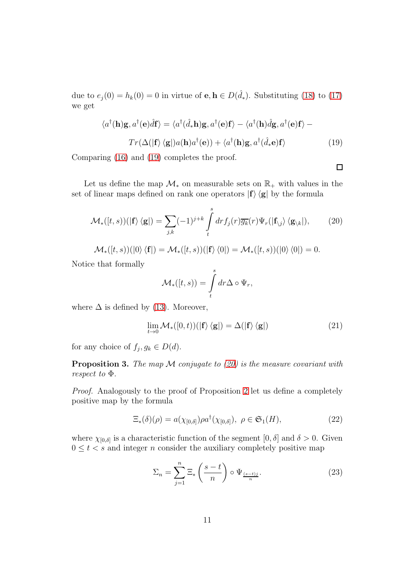due to  $e_j(0) = h_k(0) = 0$  in virtue of  $\mathbf{e}, \mathbf{h} \in D(\hat{d}_*)$ . Substituting [\(18\)](#page-9-4) to [\(17\)](#page-9-3) we get

<span id="page-10-0"></span>
$$
\langle a^{\dagger}(\mathbf{h})\mathbf{g}, a^{\dagger}(\mathbf{e})\hat{d}\mathbf{f}\rangle = \langle a^{\dagger}(\hat{d}_{*}\mathbf{h})\mathbf{g}, a^{\dagger}(\mathbf{e})\mathbf{f}\rangle - \langle a^{\dagger}(\mathbf{h})\hat{d}\mathbf{g}, a^{\dagger}(\mathbf{e})\mathbf{f}\rangle -
$$

$$
Tr(\Delta(|\mathbf{f}\rangle\langle\mathbf{g}|)a(\mathbf{h})a^{\dagger}(\mathbf{e})) + \langle a^{\dagger}(\mathbf{h})\mathbf{g}, a^{\dagger}(\hat{d}_{*}\mathbf{e})\mathbf{f}\rangle \tag{19}
$$

Comparing [\(16\)](#page-9-2) and [\(19\)](#page-10-0) completes the proof.

 $\Box$ 

Let us define the map  $\mathcal{M}_{*}$  on measurable sets on  $\mathbb{R}_{+}$  with values in the set of linear maps defined on rank one operators  $|f\rangle \langle g|$  by the formula

<span id="page-10-1"></span>
$$
\mathcal{M}_{*}([t,s))(|\mathbf{f}\rangle\langle\mathbf{g}|) = \sum_{j,k}(-1)^{j+k}\int\limits_{t}^{s}dr f_{j}(r)\overline{g_{k}}(r)\Psi_{r}(|\mathbf{f}_{\setminus j}\rangle\langle\mathbf{g}_{\setminus k}|),\tag{20}
$$

$$
\mathcal{M}_{*}([t, s))(|0\rangle \langle \mathbf{f}|) = \mathcal{M}_{*}([t, s))(|\mathbf{f}\rangle \langle 0|) = \mathcal{M}_{*}([t, s))(|0\rangle \langle 0|) = 0.
$$

Notice that formally

$$
\mathcal{M}_{*}([t, s)) = \int_{t}^{s} dr \Delta \circ \Psi_{r},
$$

where  $\Delta$  is defined by [\(13\)](#page-8-3). Moreover,

<span id="page-10-3"></span>
$$
\lim_{t \to 0} \mathcal{M}_{*}([0, t))(|\mathbf{f}\rangle \langle \mathbf{g}|) = \Delta(|\mathbf{f}\rangle \langle \mathbf{g}|)
$$
 (21)

for any choice of  $f_j, g_k \in D(d)$ .

<span id="page-10-2"></span>**Proposition 3.** The map  $M$  conjugate to [\(20\)](#page-10-1) is the measure covariant with respect to Φ.

Proof. Analogously to the proof of Proposition [2](#page-5-1) let us define a completely positive map by the formula

<span id="page-10-4"></span>
$$
\Xi_*(\delta)(\rho) = a(\chi_{[0,\delta]})\rho a^\dagger(\chi_{[0,\delta]}), \ \rho \in \mathfrak{S}_1(H), \tag{22}
$$

where  $\chi_{[0,\delta]}$  is a characteristic function of the segment  $[0,\delta]$  and  $\delta > 0$ . Given  $0 \leq t < s$  and integer *n* consider the auxiliary completely positive map

<span id="page-10-5"></span>
$$
\Sigma_n = \sum_{j=1}^n \Xi_* \left( \frac{s-t}{n} \right) \circ \Psi_{\frac{(s-t)j}{n}}.
$$
\n(23)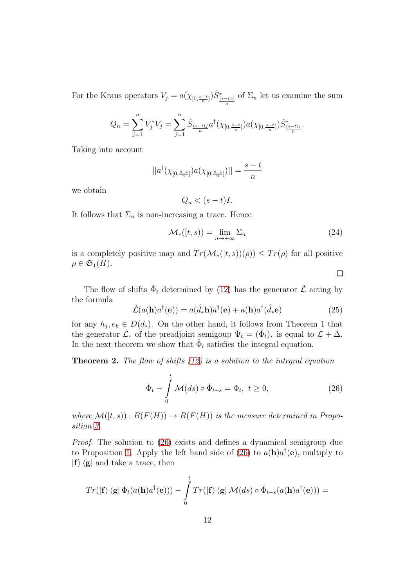For the Kraus operators  $V_j = a(\chi_{[0, \frac{s-t}{n}]}) \hat{S}^*_{\frac{(s-t)j}{n}}$  of  $\Sigma_n$  let us examine the sum

$$
Q_n = \sum_{j=1}^n V_j^* V_j = \sum_{j=1}^n \hat{S}_{\frac{(s-t)j}{n}} a^{\dagger} (\chi_{[0,\frac{s-t}{n}]}) a (\chi_{[0,\frac{s-t}{n}]}) \hat{S}_{\frac{(s-t)j}{n}}^*.
$$

Taking into account

$$
||a^{\dagger}(\chi_{[0,\frac{s-t}{n}]})a(\chi_{[0,\frac{s-t}{n}]})||=\frac{s-t}{n}
$$

we obtain

$$
Q_n < (s-t)I.
$$

It follows that  $\Sigma_n$  is non-increasing a trace. Hence

<span id="page-11-2"></span>
$$
\mathcal{M}_{*}([t,s)) = \lim_{n \to +\infty} \Sigma_n \tag{24}
$$

 $\Box$ 

is a completely positive map and  $Tr(\mathcal{M}_*(t,s))(\rho) \leq Tr(\rho)$  for all positive  $\rho \in \mathfrak{S}_1(H)$ .

The flow of shifts  $\check{\Phi}_t$  determined by [\(12\)](#page-8-4) has the generator  $\check{\mathcal{L}}$  acting by the formula

<span id="page-11-1"></span>
$$
\check{\mathcal{L}}(a(\mathbf{h})a^{\dagger}(\mathbf{e})) = a(\hat{d}_{*}\mathbf{h})a^{\dagger}(\mathbf{e}) + a(\mathbf{h})a^{\dagger}(\hat{d}_{*}\mathbf{e})
$$
\n(25)

for any  $h_j, e_k \in D(d_*)$ . On the other hand, it follows from Theorem 1 that the generator  $\check{\mathcal{L}}_*$  of the preadjoint semigoup  $\check{\Psi}_t = (\check{\Phi}_t)_*$  is equal to  $\mathcal{L} + \Delta$ . In the next theorem we show that  $\check{\Phi}_t$  satisfies the integral equation.

**Theorem 2.** The flow of shifts  $(12)$  is a solution to the integral equation

<span id="page-11-0"></span>
$$
\check{\Phi}_t - \int_0^t \mathcal{M}(ds) \circ \check{\Phi}_{t-s} = \Phi_t, \ t \ge 0,
$$
\n(26)

where  $\mathcal{M}([t, s)) : B(F(H)) \to B(F(H))$  is the measure determined in Proposition [3.](#page-10-2)

Proof. The solution to [\(26\)](#page-11-0) exists and defines a dynamical semigroup due to Proposition [1.](#page-9-5) Apply the left hand side of [\(26\)](#page-11-0) to  $a(\mathbf{h})a^{\dagger}(\mathbf{e})$ , multiply to  $|f\rangle\langle g|$  and take a trace, then

$$
Tr(|\mathbf{f}\rangle \langle \mathbf{g} | \check{\Phi}_t(a(\mathbf{h})a^{\dagger}(\mathbf{e})) - \int_0^t Tr(|\mathbf{f}\rangle \langle \mathbf{g} | \mathcal{M}(ds) \circ \check{\Phi}_{t-s}(a(\mathbf{h})a^{\dagger}(\mathbf{e}))) =
$$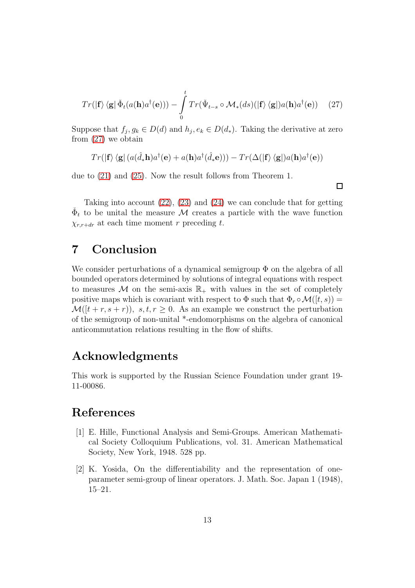<span id="page-12-2"></span>
$$
Tr(|\mathbf{f}\rangle \langle \mathbf{g}|\check{\Phi}_t(a(\mathbf{h})a^\dagger(\mathbf{e})) - \int_0^t Tr(\check{\Psi}_{t-s} \circ \mathcal{M}_*(ds)(|\mathbf{f}\rangle \langle \mathbf{g}|)a(\mathbf{h})a^\dagger(\mathbf{e})) \quad (27)
$$

Suppose that  $f_j, g_k \in D(d)$  and  $h_j, e_k \in D(d_*)$ . Taking the derivative at zero from [\(27\)](#page-12-2) we obtain

$$
Tr(|\mathbf{f}\rangle\langle\mathbf{g}|\left(a(\hat{d}_*\mathbf{h})a^\dagger(\mathbf{e})+a(\mathbf{h})a^\dagger(\hat{d}_*\mathbf{e})\right)\rangle -Tr(\Delta(|\mathbf{f}\rangle\langle\mathbf{g}|)a(\mathbf{h})a^\dagger(\mathbf{e}))
$$

due to [\(21\)](#page-10-3) and [\(25\)](#page-11-1). Now the result follows from Theorem 1.

 $\Box$ 

Taking into account [\(22\)](#page-10-4), [\(23\)](#page-10-5) and [\(24\)](#page-11-2) we can conclude that for getting  $\check{\Phi}_t$  to be unital the measure M creates a particle with the wave function  $\chi_{r,r+dr}$  at each time moment r preceding t.

### 7 Conclusion

We consider perturbations of a dynamical semigroup  $\Phi$  on the algebra of all bounded operators determined by solutions of integral equations with respect to measures M on the semi-axis  $\mathbb{R}_+$  with values in the set of completely positive maps which is covariant with respect to  $\Phi$  such that  $\Phi_r \circ \mathcal{M}([t,s)) =$  $\mathcal{M}([t + r, s + r))$ ,  $s, t, r \geq 0$ . As an example we construct the perturbation of the semigroup of non-unital \*-endomorphisms on the algebra of canonical anticommutation relations resulting in the flow of shifts.

### Acknowledgments

This work is supported by the Russian Science Foundation under grant 19- 11-00086.

### <span id="page-12-0"></span>References

- [1] E. Hille, Functional Analysis and Semi-Groups. American Mathematical Society Colloquium Publications, vol. 31. American Mathematical Society, New York, 1948. 528 pp.
- <span id="page-12-1"></span>[2] K. Yosida, On the differentiability and the representation of oneparameter semi-group of linear operators. J. Math. Soc. Japan 1 (1948), 15–21.